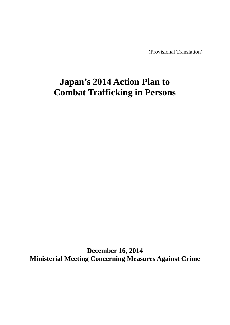(Provisional Translation)

# **Japan's 2014 Action Plan to Combat Trafficking in Persons**

**December 16, 2014 Ministerial Meeting Concerning Measures Against Crime**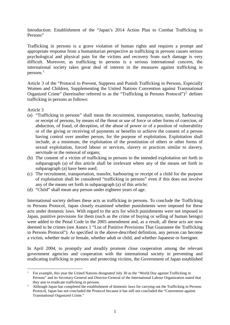Introduction: Establishment of the "Japan's 2014 Action Plan to Combat Trafficking in Persons"

Trafficking in persons is a grave violation of human rights and requires a prompt and appropriate response from a humanitarian perspective as trafficking in persons causes serious psychological and physical pain for the victims and recovery from such damage is very difficult. Moreover, as trafficking in persons is a serious international concern, the international society takes great deal of interest in the measures against trafficking in persons.[1](#page-1-0)

Article 3 of the "Protocol to Prevent, Suppress and Punish Trafficking in Persons, Especially Women and Children, Supplementing the United Nations Convention against Transnational Organized Crime" (hereinafter referred to as the "Trafficking in Persons Protocol")<sup>[2](#page-1-1)</sup> defines trafficking in persons as follows:

Article 3

 $\overline{a}$ 

- (a) "Trafficking in persons" shall mean the recruitment, transportation, transfer, harbouring or receipt of persons, by means of the threat or use of force or other forms of coercion, of abduction, of fraud, of deception, of the abuse of power or of a position of vulnerability or of the giving or receiving of payments or benefits to achieve the consent of a person having control over another person, for the purpose of exploitation. Exploitation shall include, at a minimum, the exploitation of the prostitution of others or other forms of sexual exploitation, forced labour or services, slavery or practices similar to slavery, servitude or the removal of organs;
- (b) The consent of a victim of trafficking in persons to the intended exploitation set forth in subparagraph (a) of this article shall be irrelevant where any of the means set forth in subparagraph (a) have been used;
- (c) The recruitment, transportation, transfer, harbouring or receipt of a child for the purpose of exploitation shall be considered "trafficking in persons" even if this does not involve any of the means set forth in subparagraph (a) of this article;
- (d) "Child" shall mean any person under eighteen years of age.

International society defines these acts as trafficking in persons. To conclude the Trafficking in Persons Protocol, Japan closely examined whether punishments were imposed for these acts under domestic laws. With regard to the acts for which punishments were not imposed in Japan, punitive provisions for them (such as the crime of buying or selling of human beings) were added to the Penal Code in the 2005 amendment and, as a result, all these acts are now deemed to be crimes (see Annex 1 "List of Punitive Provisions That Guarantee the Trafficking in Persons Protocol"). As specified in the above-described definition, any person can become a victim, whether male or female, whether adult or child, and whether Japanese or foreigner.

In April 2004, to promptly and steadily promote close cooperation among the relevant government agencies and cooperation with the international society in preventing and eradicating trafficking in persons and protecting victims, the Government of Japan established

<span id="page-1-0"></span><sup>1</sup> For example, this year the United Nations designated July 30 as the "World Day against Trafficking in Persons" and its Secretary-General and Director-General of the International Labour Organization stated that they aim to eradicate trafficking in persons.

<span id="page-1-1"></span><sup>&</sup>lt;sup>2</sup> Although Japan has completed the establishment of domestic laws for carrying out the Trafficking in Persons Protocol, Japan has not concluded the Protocol because it has still not concluded the "Convention against Transnational Organized Crime."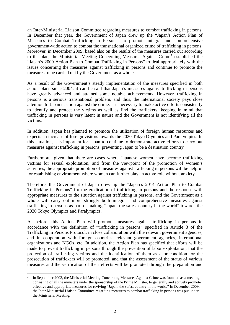an Inter-Ministerial Liaison Committee regarding measures to combat trafficking in persons. In December that year, the Government of Japan drew up the "Japan's Action Plan of Measures to Combat Trafficking in Persons" to promote integral and comprehensive government-wide action to combat the transnational organized crime of trafficking in persons. Moreover, in December 2009, based also on the results of the measures carried out according to the plan, the Ministerial Meeting Concerning Measures Against Crime[3](#page-2-0) established the "Japan's 2009 Action Plan to Combat Trafficking in Persons" to deal appropriately with the issues concerning the measures against trafficking in persons and continue to promote the measures to be carried out by the Government as a whole.

As a result of the Government's steady implementation of the measures specified in both action plans since 2004, it can be said that Japan's measures against trafficking in persons have greatly advanced and attained some notable achievements. However, trafficking in persons is a serious transnational problem, and thus, the international society pays close attention to Japan's action against the crime. It is necessary to make active efforts consistently to identify and protect the victims as well as find the traffickers, keeping in mind that trafficking in persons is very latent in nature and the Government is not identifying all the victims.

In addition, Japan has planned to promote the utilization of foreign human resources and expects an increase of foreign visitors towards the 2020 Tokyo Olympics and Paralympics. In this situation, it is important for Japan to continue to demonstrate active efforts to carry out measures against trafficking in persons, preventing Japan to be a destination country.

Furthermore, given that there are cases where Japanese women have become trafficking victims for sexual exploitation, and from the viewpoint of the promotion of women's activities, the appropriate promotion of measures against trafficking in persons will be helpful for establishing environment where women can further play an active role without anxiety.

Therefore, the Government of Japan drew up the "Japan's 2014 Action Plan to Combat Trafficking in Persons" for the eradication of trafficking in persons and the response with appropriate measures to the situation against trafficking in persons, and the Government as a whole will carry out more strongly both integral and comprehensive measures against trafficking in persons as part of making "Japan, the safest country in the world" towards the 2020 Tokyo Olympics and Paralympics.

As before, this Action Plan will promote measures against trafficking in persons in accordance with the definition of "trafficking in persons" specified in Article 3 of the Trafficking in Persons Protocol, in close collaboration with the relevant government agencies, and in cooperation with foreign countries' relevant government agencies, international organizations and NGOs, etc. In addition, the Action Plan has specified that efforts will be made to prevent trafficking in persons through the prevention of labor exploitation, that the protection of trafficking victims and the identification of them as a precondition for the prosecution of traffickers will be promoted, and that the assessment of the status of various measures and the verification of their effects will be promoted through the preparation and

<span id="page-2-0"></span>In September 2003, the Ministerial Meeting Concerning Measures Against Crime was founded as a meeting consisting of all the ministers under the sponsorship of the Prime Minister, to generally and actively promote effective and appropriate measures for reviving "Japan, the safest country in the world." In December 2009, the Inter-Ministerial Liaison Committee regarding measures to combat trafficking in persons was put under the Ministerial Meeting.  $\overline{a}$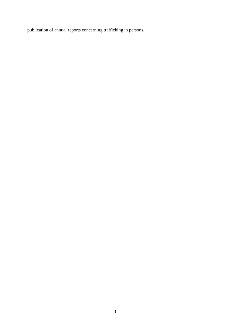publication of annual reports concerning trafficking in persons.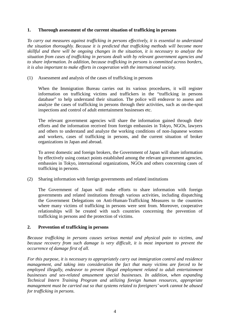# **1. Thorough assessment of the current situation of trafficking in persons**

*To carry out measures against trafficking in persons effectively, it is essential to understand the situation thoroughly. Because it is predicted that trafficking methods will become more skillful and there will be ongoing changes in the situation, it is necessary to analyze the situation from cases of trafficking in persons dealt with by relevant government agencies and to share information. In addition, because trafficking in persons is committed across borders, it is also important to make efforts in cooperation with the international society.*

(1) Assessment and analysis of the cases of trafficking in persons

When the Immigration Bureau carries out its various procedures, it will register information on trafficking victims and traffickers in the "trafficking in persons database" to help understand their situation. The police will endeavor to assess and analyze the cases of trafficking in persons through their activities, such as on-the-spot inspections and control of adult entertainment businesses etc.

The relevant government agencies will share the information gained through their efforts and the information received from foreign embassies in Tokyo, NGOs, lawyers and others to understand and analyze the working conditions of non-Japanese women and workers, cases of trafficking in persons, and the current situation of broker organizations in Japan and abroad.

To arrest domestic and foreign brokers, the Government of Japan will share information by effectively using contact points established among the relevant government agencies, embassies in Tokyo, international organizations, NGOs and others concerning cases of trafficking in persons.

(2) Sharing information with foreign governments and related institutions

The Government of Japan will make efforts to share information with foreign governments and related institutions through various activities, including dispatching the Government Delegations on Anti-Human-Trafficking Measures to the countries where many victims of trafficking in persons were sent from. Moreover, cooperative relationships will be created with such countries concerning the prevention of trafficking in persons and the protection of victims.

#### **2. Prevention of trafficking in persons**

*Because trafficking in persons causes serious mental and physical pain to victims, and*  because recovery from such damage is very difficult, it is most important to prevent the *occurrence of damage first of all.*

*For this purpose, it is necessary to appropriately carry out immigration control and residence management, and taking into consideration the fact that many victims are forced to be employed illegally, endeavor to prevent illegal employment related to adult entertainment businesses and sex-related amusement special businesses. In addition, when expanding Technical Intern Training Program and utilizing foreign human resources, appropriate management must be carried out so that systems related to foreigners'work cannot be abused for trafficking in persons.*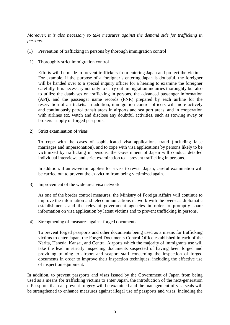*Moreover, it is also necessary to take measures against the demand side for trafficking in persons.*

- (1) Prevention of trafficking in persons by thorough immigration control
- 1) Thoroughly strict immigration control

Efforts will be made to prevent traffickers from entering Japan and protect the victims. For example, if the purpose of a foreigner's entering Japan is doubtful, the foreigner will be handed over to a special inquiry officer for a hearing to examine the foreigner carefully. It is necessary not only to carry out immigration inquiries thoroughly but also to utilize the databases on trafficking in persons, the advanced passenger information (API), and the passenger name records (PNR) prepared by each airline for the reservation of air tickets. In addition, immigration control officers will more actively and continuously patrol transit areas in airports and sea port areas, and in cooperation with airlines etc. watch and disclose any doubtful activities, such as stowing away or brokers'supply of forged passports.

2) Strict examination of visas

To cope with the cases of sophisticated visa applications fraud (including false marriages and impersonation), and to cope with visa applications by persons likely to be victimized by trafficking in persons, the Government of Japan will conduct detailed individual interviews and strict examination to prevent trafficking in persons.

In addition, if an ex-victim applies for a visa to revisit Japan, careful examination will be carried out to prevent the ex-victim from being victimized again.

3) Improvement of the wide-area visa network

As one of the border control measures, the Ministry of Foreign Affairs will continue to improve the information and telecommunications network with the overseas diplomatic establishments and the relevant government agencies in order to promptly share information on visa application by latent victims and to prevent trafficking in persons.

4) Strengthening of measures against forged documents

To prevent forged passports and other documents being used as a means for trafficking victims to enter Japan, the Forged Documents Control Office established in each of the Narita, Haneda, Kansai, and Central Airports which the majority of immigrants use will take the lead in strictly inspecting documents suspected of having been forged and providing training to airport and seaport staff concerning the inspection of forged documents in order to improve their inspection techniques, including the effective use of inspection equipment.

In addition, to prevent passports and visas issued by the Government of Japan from being used as a means for trafficking victims to enter Japan, the introduction of the next-generation e-Passports that can prevent forgery will be examined and the management of visa seals will be strengthened to enhance measures against illegal use of passports and visas, including the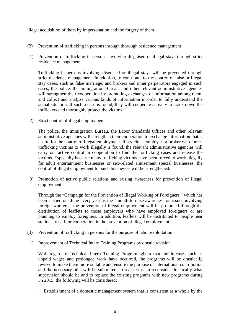illegal acquisition of them by impersonation and the forgery of them.

- (2) Prevention of trafficking in persons through thorough residence management
- 1) Prevention of trafficking in persons involving disguised or illegal stays through strict residence management

Trafficking in persons involving disguised or illegal stays will be prevented through strict residence management. In addition, to contribute to the control of false or illegal stay cases, such as false marriage, and brokers and other perpetrators engaged in such cases, the police, the Immigration Bureau, and other relevant administrative agencies will strengthen their cooperation by promoting exchanges of information among them, and collect and analyze various kinds of information in order to fully understand the actual situation. If such a case is found, they will cooperate actively to crack down the traffickers and thoroughly protect the victims.

2) Strict control of illegal employment

The police, the Immigration Bureau, the Labor Standards Offices and other relevant administrative agencies will strengthen their cooperation to exchange information that is useful for the control of illegal employment. If a vicious employer or broker who forces trafficking victims to work illegally is found, the relevant administrative agencies will carry out active control in cooperation to find the trafficking cases and release the victims. Especially because many trafficking victims have been forced to work illegally for adult entertainment businesses or sex-related amusement special businesses, the control of illegal employment for such businesses will be strengthened.

3) Promotion of active public relations and raising awareness for prevention of illegal employment

Through the "Campaign for the Prevention of Illegal Working of Foreigners," which has been carried out June every year as the "month to raise awareness on issues involving foreign workers," the prevention of illegal employment will be promoted through the distribution of leaflets to those employers who have employed foreigners or are planning to employ foreigners. In addition, leaflets will be distributed to people near stations to call for cooperation in the prevention of illegal employment.

- (3) Prevention of trafficking in persons for the purpose of labor exploitation
- 1) Improvement of Technical Intern Training Programs by drastic revision

With regard to Technical Intern Training Program, given that unfair cases such as unpaid wages and prolonged work have occurred, the programs will be drastically revised to make them more suitable and ensure the purpose of international contribution, and the necessary bills will be submitted. In real terms, to reconsider drastically what supervision should be and to replace the existing programs with new programs during FY2015, the following will be considered:

Establishment of a domestic management system that is consistent as a whole by the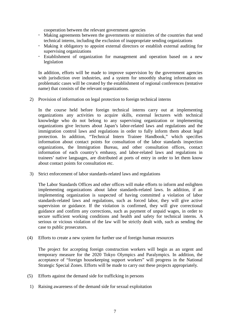cooperation between the relevant government agencies

- Making agreements between the governments or ministries of the countries that send technical interns, including the exclusion of inappropriate sending organizations
- Making it obligatory to appoint external directors or establish external auditing for supervising organizations
- Establishment of organization for management and operation based on a new legislation

In addition, efforts will be made to improve supervision by the government agencies with jurisdiction over industries, and a system for smoothly sharing information on problematic cases will be created by the establishment of regional conferences (tentative name) that consists of the relevant organizations.

2) Provision of information on legal protection to foreign technical interns

In the course held before foreign technical interns carry out at implementing organizations any activities to acquire skills, external lecturers with technical knowledge who do not belong to any supervising organization or implementing organizations give lectures about Japan's labor-related laws and regulations and the immigration control laws and regulations in order to fully inform them about legal protection. In addition, "Technical Intern Trainee Handbook," which specifies information about contact points for consultation of the labor standards inspection organizations, the Immigration Bureau, and other consultation offices, contact information of each country's embassy, and labor-related laws and regulations in trainees' native languages, are distributed at ports of entry in order to let them know about contact points for consultation etc.

3) Strict enforcement of labor standards-related laws and regulations

The Labor Standards Offices and other offices will make efforts to inform and enlighten implementing organizations about labor standards-related laws. In addition, if an implementing organization is suspected of having committed a violation of labor standards-related laws and regulations, such as forced labor, they will give active supervision or guidance. If the violation is confirmed, they will give correctional guidance and confirm any corrections, such as payment of unpaid wages, in order to secure sufficient working conditions and health and safety for technical interns. A serious or vicious violation of the law will be strictly dealt with, such as sending the case to public prosecutors.

(4) Efforts to create a new system for further use of foreign human resources

The project for accepting foreign construction workers will begin as an urgent and temporary measure for the 2020 Tokyo Olympics and Paralympics. In addition, the acceptance of "foreign housekeeping support workers" will progress in the National Strategic Special Zones. Efforts will be made to carry out these projects appropriately.

- (5) Efforts against the demand side for trafficking in persons
	- 1) Raising awareness of the demand side for sexual exploitation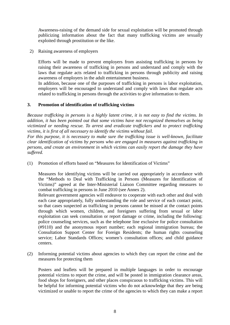Awareness-raising of the demand side for sexual exploitation will be promoted through publicizing information about the fact that many trafficking victims are sexually exploited through prostitution or the like.

2) Raising awareness of employers

Efforts will be made to prevent employers from assisting trafficking in persons by raising their awareness of trafficking in persons and understand and comply with the laws that regulate acts related to trafficking in persons through publicity and raising awareness of employers in the adult entertainment business.

In addition, because one of the purposes of trafficking in persons is labor exploitation, employers will be encouraged to understand and comply with laws that regulate acts related to trafficking in persons through the activities to give information to them.

# **3. Promotion of identification of trafficking victims**

*Because trafficking in persons is a highly latent crime, it is not easy to find the victims. In addition, it has been pointed out that some victims have not recognized themselves as being victimized or needing rescue. To arrest and eradicate traffickers and to protect trafficking victims, it is first of all necessary to identify the victims without fail.*

*For this purpose, it is necessary to make sure the trafficking issue is well-known, facilitate clear identification of victims by persons who are engaged in measures against trafficking in persons, and create an environment in which victims can easily report the damage they have suffered.*

(1) Promotion of efforts based on "Measures for Identification of Victims"

Measures for identifying victims will be carried out appropriately in accordance with the "Methods to Deal with Trafficking in Persons (Measures for Identification of Victims)" agreed at the Inter-Ministerial Liaison Committee regarding measures to combat trafficking in persons in June 2010 (see Annex 2).

Relevant government agencies will endeavor to cooperate with each other and deal with each case appropriately, fully understanding the role and service of each contact point, so that cases suspected as trafficking in persons cannot be missed at the contact points through which women, children, and foreigners suffering from sexual or labor exploitation can seek consultation or report damage or crime, including the following: police counseling services, such as the telephone line exclusive for police consultation (#9110) and the anonymous report number; each regional immigration bureau; the Consultation Support Center for Foreign Residents; the human rights counseling service; Labor Standards Offices; women's consultation offices; and child guidance centers.

(2) Informing potential victims about agencies to which they can report the crime and the measures for protecting them

Posters and leaflets will be prepared in multiple languages in order to encourage potential victims to report the crime, and will be posted in immigration clearance areas, food shops for foreigners, and other places conspicuous to trafficking victims. This will be helpful for informing potential victims who do not acknowledge that they are being victimized or unable to report the crime of the agencies to which they can make a report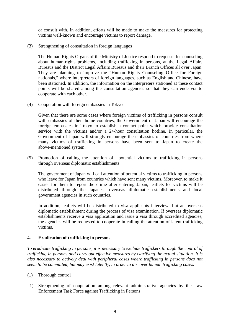or consult with. In addition, efforts will be made to make the measures for protecting victims well-known and encourage victims to report damage.

(3) Strengthening of consultation in foreign languages

The Human Rights Organs of the Ministry of Justice respond to requests for counseling about human-rights problems, including trafficking in persons, at the Legal Affairs Bureaus and the District Legal Affairs Bureaus and their Branch Offices all over Japan. They are planning to improve the "Human Rights Counseling Office for Foreign nationals," where interpreters of foreign languages, such as English and Chinese, have been stationed. In addition, the information on the interpreters stationed at these contact points will be shared among the consultation agencies so that they can endeavor to cooperate with each other.

(4) Cooperation with foreign embassies in Tokyo

Given that there are some cases where foreign victims of trafficking in persons consult with embassies of their home countries, the Government of Japan will encourage the foreign embassies in Tokyo to establish a contact point which provide consultation service with the victims and/or a 24-hour consultation hotline. In particular, the Government of Japan will strongly encourage the embassies of countries from where many victims of trafficking in persons have been sent to Japan to create the above-mentioned system.

(5) Promotion of calling the attention of potential victims to trafficking in persons through overseas diplomatic establishments

The government of Japan will call attention of potential victims to trafficking in persons, who leave for Japan from countries which have sent many victims. Moreover, to make it easier for them to report the crime after entering Japan, leaflets for victims will be distributed through the Japanese overseas diplomatic establishments and local government agencies in such countries.

In addition, leaflets will be distributed to visa applicants interviewed at an overseas diplomatic establishment during the process of visa examination. If overseas diplomatic establishments receive a visa application and issue a visa through accredited agencies, the agencies will be requested to cooperate in calling the attention of latent trafficking victims.

# **4. Eradication of trafficking in persons**

*To eradicate trafficking in persons, it is necessary to exclude traffickers through the control of trafficking in persons and carry out effective measures by clarifying the actual situation. It is also necessary to actively deal with peripheral cases where trafficking in persons does not seem to be committed, but may exist latently, in order to discover human trafficking cases.*

- (1) Thorough control
	- 1) Strengthening of cooperation among relevant administrative agencies by the Law Enforcement Task Force against Trafficking in Persons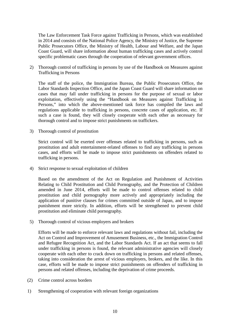The Law Enforcement Task Force against Trafficking in Persons, which was established in 2014 and consists of the National Police Agency, the Ministry of Justice, the Supreme Public Prosecutors Office, the Ministry of Health, Labour and Welfare, and the Japan Coast Guard, will share information about human trafficking cases and actively control specific problematic cases through the cooperation of relevant government offices.

2) Thorough control of trafficking in persons by use of the Handbook on Measures against Trafficking in Persons

The staff of the police, the Immigration Bureau, the Public Prosecutors Office, the Labor Standards Inspection Office, and the Japan Coast Guard will share information on cases that may fall under trafficking in persons for the purpose of sexual or labor exploitation, effectively using the "Handbook on Measures against Trafficking in Persons," into which the above-mentioned task force has compiled the laws and regulations applicable to trafficking in persons, concrete cases of application, etc. If such a case is found, they will closely cooperate with each other as necessary for thorough control and to impose strict punishments on traffickers.

3) Thorough control of prostitution

Strict control will be exerted over offenses related to trafficking in persons, such as prostitution and adult entertainment-related offenses to find any trafficking in persons cases, and efforts will be made to impose strict punishments on offenders related to trafficking in persons.

4) Strict response to sexual exploitation of children

Based on the amendment of the Act on Regulation and Punishment of Activities Relating to Child Prostitution and Child Pornography, and the Protection of Children amended in June 2014, efforts will be made to control offenses related to child prostitution and child pornography more actively and appropriately including the application of punitive clauses for crimes committed outside of Japan, and to impose punishment more strictly. In addition, efforts will be strengthened to prevent child prostitution and eliminate child pornography.

5) Thorough control of vicious employers and brokers

Efforts will be made to enforce relevant laws and regulations without fail, including the Act on Control and Improvement of Amusement Business, etc., the Immigration Control and Refugee Recognition Act, and the Labor Standards Act. If an act that seems to fall under trafficking in persons is found, the relevant administrative agencies will closely cooperate with each other to crack down on trafficking in persons and related offenses, taking into consideration the arrest of vicious employers, brokers, and the like. In this case, efforts will be made to impose strict punishments on offenders of trafficking in persons and related offenses, including the deprivation of crime proceeds.

- (2) Crime control across borders
- 1) Strengthening of cooperation with relevant foreign organizations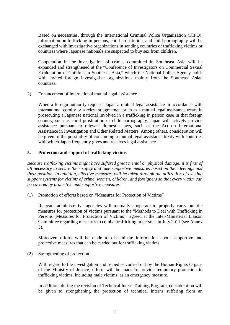Based on necessities, through the International Criminal Police Organization (ICPO), information on trafficking in persons, child prostitution, and child pornography will be exchanged with investigative organizations in sending countries of trafficking victims or countries where Japanese nationals are suspected to buy sex from children.

Cooperation in the investigation of crimes committed in Southeast Asia will be expanded and strengthened at the "Conference of Investigators on Commercial Sexual Exploitation of Children in Southeast Asia," which the National Police Agency holds with invited foreign investigative organizations mainly from the Southeast Asian countries.

2) Enhancement of international mutual legal assistance

When a foreign authority requests Japan a mutual legal assistance in accordance with international comity or a relevant agreement such as a mutual legal assistance treaty in prosecuting a Japanese national involved in a trafficking in person case in that foreign country, such as child prostitution or child pornography, Japan will actively provide assistance pursuant to relevant domestic laws, such as the Act on International Assistance in Investigation and Other Related Matters. Among others, consideration will be given to the possibility of concluding a mutual legal assistance treaty with countries with which Japan frequently gives and receives legal assistance.

# **5. Protection and support of trafficking victims**

*Because trafficking victims might have suffered great mental or physical damage, it is first of all necessary to secure their safety and take supportive measures based on their feelings and their position. In addition, effective measures will be taken through the utilization of existing support systems for victims of crime, women, children, and foreigners so that every victim can be covered by protective and supportive measures.*

(1) Promotion of efforts based on "Measures for Protection of Victims"

Relevant administrative agencies will mutually cooperate to properly carry out the measures for protection of victims pursuant to the "Methods to Deal with Trafficking in Persons (Measures for Protection of Victims)" agreed at the Inter-Ministerial Liaison Committee regarding measures to combat trafficking in persons in July 2011 (see Annex 3).

Moreover, efforts will be made to disseminate information about supportive and protective measures that can be carried out for trafficking victims.

(2) Strengthening of protection

With regard to the investigation and remedies carried out by the Human Rights Organs of the Ministry of Justice, efforts will be made to provide temporary protection to trafficking victims, including male victims, as an emergency measure.

In addition, during the revision of Technical Intern Training Program, consideration will be given to strengthening the protection of technical interns suffering from an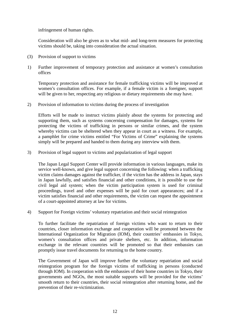infringement of human rights.

Consideration will also be given as to what mid- and long-term measures for protecting victims should be, taking into consideration the actual situation.

- (3) Provision of support to victims
- 1) Further improvement of temporary protection and assistance at women's consultation offices

Temporary protection and assistance for female trafficking victims will be improved at women's consultation offices. For example, if a female victim is a foreigner, support will be given to her, respecting any religious or dietary requirements she may have.

2) Provision of information to victims during the process of investigation

Efforts will be made to instruct victims plainly about the systems for protecting and supporting them, such as systems concerning compensation for damages, systems for protecting the victims of trafficking in persons or similar crimes, and the system whereby victims can be sheltered when they appear in court as a witness. For example, a pamphlet for crime victims entitled "For Victims of Crime" explaining the systems simply will be prepared and handed to them during any interview with them.

3) Provision of legal support to victims and popularization of legal support

The Japan Legal Support Center will provide information in various languages, make its service well-known, and give legal support concerning the following: when a trafficking victim claims damages against the trafficker, if the victim has the address in Japan, stays in Japan lawfully, and satisfies financial and other conditions, it is possible to use the civil legal aid system; when the victim participation system is used for criminal proceedings, travel and other expenses will be paid for court appearances; and if a victim satisfies financial and other requirements, the victim can request the appointment of a court-appointed attorney at law for victims.

4) Support for Foreign victims' voluntary repatriation and their social reintegration

To further facilitate the repatriation of foreign victims who want to return to their countries, closer information exchange and cooperation will be promoted between the International Organization for Migration (IOM), their countries' embassies in Tokyo, women's consultation offices and private shelters, etc. In addition, information exchange in the relevant countries will be promoted so that their embassies can promptly issue travel documents for returning to the home country.

The Government of Japan will improve further the voluntary repatriation and social reintegration program for the foreign victims of trafficking in persons (conducted through IOM). In cooperation with the embassies of their home countries in Tokyo, their governments and NGOs, the most suitable supports will be provided for the victims' smooth return to their countries, their social reintegration after returning home, and the prevention of their re-victimization.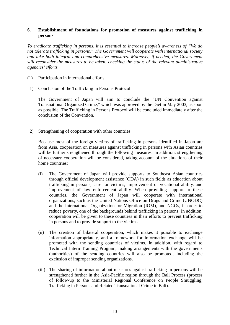# **6. Establishment of foundations for promotion of measures against trafficking in persons**

*To eradicate trafficking in persons, it is essential to increase people's awareness of "We do not tolerate trafficking in persons." The Government will cooperate with international society and take both integral and comprehensive measures. Moreover, if needed, the Government will reconsider the measures to be taken, checking the status of the relevant administrative agencies' efforts.*

- (1) Participation in international efforts
- 1) Conclusion of the Trafficking in Persons Protocol

The Government of Japan will aim to conclude the "UN Convention against Transnational Organized Crime," which was approved by the Diet in May 2003, as soon as possible. The Trafficking in Persons Protocol will be concluded immediately after the conclusion of the Convention.

2) Strengthening of cooperation with other countries

Because most of the foreign victims of trafficking in persons identified in Japan are from Asia, cooperation on measures against trafficking in persons with Asian countries will be further strengthened through the following measures. In addition, strengthening of necessary cooperation will be considered, taking account of the situations of their home countries:

- (i) The Government of Japan will provide supports to Southeast Asian countries through official development assistance (ODA) in such fields as education about trafficking in persons, care for victims, improvement of vocational ability, and improvement of law enforcement ability. When providing support to these countries, the Government of Japan will cooperate with international organizations, such as the United Nations Office on Drugs and Crime (UNODC) and the International Organization for Migration (IOM), and NGOs, in order to reduce poverty, one of the backgrounds behind trafficking in persons. In addition, cooperation will be given to these countries in their efforts to prevent trafficking in persons and to provide support to the victims.
- (ii) The creation of bilateral cooperation, which makes it possible to exchange information appropriately, and a framework for information exchange will be promoted with the sending countries of victims. In addition, with regard to Technical Intern Training Program, making arrangements with the governments (authorities) of the sending countries will also be promoted, including the exclusion of improper sending organizations.
- (iii) The sharing of information about measures against trafficking in persons will be strengthened further in the Asia-Pacific region through the Bali Process (process of follow-up to the Ministerial Regional Conference on People Smuggling, Trafficking in Persons and Related Transnational Crime in Bali).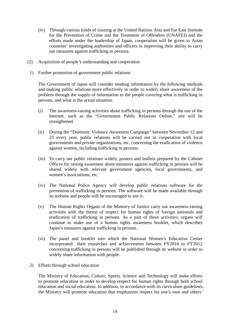- (iv) Through various kinds of training at the United Nations Asia and Far East Institute for the Prevention of Crime and the Treatment of Offenders (UNAFEI) and the efforts made under the leadership of Japan, cooperation will be given to Asian countries' investigating authorities and officers in improving their ability to carry out measures against trafficking in persons.
- (2) Acquisition of people's understanding and cooperation
	- 1) Further promotion of government public relations

The Government of Japan will consider sending information by the following methods and making public relations more effectively in order to widely share awareness of the problem through the supply of information to the people covering what is trafficking in persons, and what is the actual situation.

- (i) The awareness-raising activities about trafficking in persons through the use of the Internet, such as the "Government Public Relations Online," site will be strengthened.
- (ii) During the "Domestic Violence Awareness Campaign" between November 12 and 25 every year, public relations will be carried out in cooperation with local governments and private organizations, etc. concerning the eradication of violence against women, including trafficking in persons.
- (iii) To carry out public relations widely, posters and leaflets prepared by the Cabinet Offices for raising awareness about measures against trafficking in persons will be shared widely with relevant government agencies, local governments, and women's associations, etc.
- (iv) The National Police Agency will develop public relations software for the prevention of trafficking in persons. The software will be made available through its website and people will be encouraged to use it.
- (v) The Human Rights Organs of the Ministry of Justice carry out awareness-raising activities with the theme of respect for human rights of foreign nationals and eradication of trafficking in persons. As a part of these activities, organs will continue to make use of a human rights awareness booklet, which describes Japan's measures against trafficking in persons..
- (vi) The panel and booklet into which the National Women's Education Center incorporated their researches and achievements between FY2010 to FY2012 concerning trafficking in persons will be published through its website in order to widely share information with people.
- 2) Efforts through school education

The Ministry of Education, Culture, Sports, Science and Technology will make efforts to promote education in order to develop respect for human rights through both school education and social education. In addition, in accordance with its curriculum guidelines, the Ministry will promote education that emphasizes respect for one's own and others'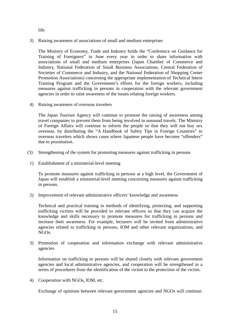life.

3) Raising awareness of associations of small and medium enterprises

The Ministry of Economy, Trade and Industry holds the "Conference on Guidance for Training of Foreigners" in June every year in order to share information with associations of small and medium enterprises (Japan Chamber of Commerce and Industry, National Federation of Small Business Associations, Central Federation of Societies of Commerce and Industry, and the National Federation of Shopping Center Promotion Associations) concerning the appropriate implementation of Technical Intern Training Program and the Government's efforts for the foreign workers, including measures against trafficking in persons in cooperation with the relevant government agencies in order to raise awareness of the issues relating foreign workers.

4) Raising awareness of overseas travelers

The Japan Tourism Agency will continue to promote the raising of awareness among travel companies to prevent them from being involved in unsound travels. The Ministry of Foreign Affairs will continue to inform the people so that they will not buy sex overseas, by distributing the "A Handbook of Safety Tips in Foreign Countries" to overseas travelers which shows cases where Japanese people have become "offenders" due to prostitution.

- (3) Strengthening of the system for promoting measures against trafficking in persons
- 1) Establishment of a ministerial-level meeting

To promote measures against trafficking in persons at a high level, the Government of Japan will establish a ministerial-level meeting concerning measures against trafficking in persons.

2) Improvement of relevant administrative officers' knowledge and awareness

Technical and practical training in methods of identifying, protecting, and supporting trafficking victims will be provided to relevant officers so that they can acquire the knowledge and skills necessary to promote measures for trafficking in persons and increase their awareness. For example, lecturers will be invited from administrative agencies related to trafficking in persons, IOM and other relevant organizations, and NGOs.

3) Promotion of cooperation and information exchange with relevant administrative agencies

Information on trafficking in persons will be shared closely with relevant government agencies and local administrative agencies, and cooperation will be strengthened in a series of procedures from the identification of the victim to the protection of the victim.

4) Cooperation with NGOs, IOM, etc.

Exchange of opinions between relevant government agencies and NGOs will continue.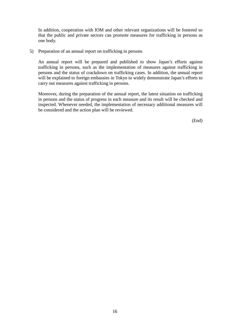In addition, cooperation with IOM and other relevant organizations will be fostered so that the public and private sectors can promote measures for trafficking in persons as one body.

5) Preparation of an annual report on trafficking in persons

An annual report will be prepared and published to show Japan's efforts against trafficking in persons, such as the implementation of measures against trafficking in persons and the status of crackdown on trafficking cases. In addition, the annual report will be explained to foreign embassies in Tokyo to widely demonstrate Japan's efforts to carry out measures against trafficking in persons.

Moreover, during the preparation of the annual report, the latest situation on trafficking in persons and the status of progress in each measure and its result will be checked and inspected. Whenever needed, the implementation of necessary additional measures will be considered and the action plan will be reviewed.

(End)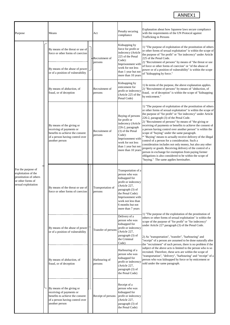# ANNEX1

| Purpose                                                                                                         |  | Means                                                                                                                                         |                                                                     | Act                          | Penalty securing<br>compliance                                                                                                                                                                                             | Explanation about how Japanese laws secure compliance<br>with the requirements of the UN Protocol against<br><b>Trafficking in Persons</b>                                                                                                                                                                                                                                                                                                                                                                                                                                                                                                                                                                                                                                                                                                                                                 |
|-----------------------------------------------------------------------------------------------------------------|--|-----------------------------------------------------------------------------------------------------------------------------------------------|---------------------------------------------------------------------|------------------------------|----------------------------------------------------------------------------------------------------------------------------------------------------------------------------------------------------------------------------|--------------------------------------------------------------------------------------------------------------------------------------------------------------------------------------------------------------------------------------------------------------------------------------------------------------------------------------------------------------------------------------------------------------------------------------------------------------------------------------------------------------------------------------------------------------------------------------------------------------------------------------------------------------------------------------------------------------------------------------------------------------------------------------------------------------------------------------------------------------------------------------------|
| For the purpose of<br>exploitation of the<br>prostitution of others<br>or other forms of<br>sexual exploitation |  | By means of the threat or use of<br>force or other forms of coercion                                                                          |                                                                     | -Recruitment of<br>persons   | Kidnapping by<br>force for profit or<br>indecency (Article<br>225 of the Penal<br>Code):<br>Imprisonment with<br>work for not less<br>than 1 year but not<br>more than 10 years                                            | 1) "The purpose of exploitation of the prostitution of others<br>or other forms of sexual exploitation" is within the scope of<br>the purpose of "for profit" or "for indecency" under Article<br>225 of the Penal Code.<br>2) "Recruitment of persons" by means of "the threat or use<br>of force or other forms of coercion" or "of the abuse of<br>power or of a position of vulnerability" is within the scope<br>of "kidnapping by force."                                                                                                                                                                                                                                                                                                                                                                                                                                            |
|                                                                                                                 |  | By means of the abuse of power<br>or of a position of vulnerability                                                                           |                                                                     |                              |                                                                                                                                                                                                                            |                                                                                                                                                                                                                                                                                                                                                                                                                                                                                                                                                                                                                                                                                                                                                                                                                                                                                            |
|                                                                                                                 |  | By means of abduction, of<br>fraud, or of deception                                                                                           |                                                                     | Recruitment of<br>persons    | Kidnapping by<br>enticement for<br>profit or indecency<br>(Article 225 of the<br>Penal Code)                                                                                                                               | 1) In terms of the purpose, the above explanation applies.<br>2) "Recruitment of persons" by means of "abduction, of<br>fraud, or of deception" is within the scope of "kidnapping<br>by enticement."                                                                                                                                                                                                                                                                                                                                                                                                                                                                                                                                                                                                                                                                                      |
|                                                                                                                 |  | By means of the giving or<br>receiving of payments or<br>benefits to achieve the consent<br>of a person having control over<br>another person |                                                                     | Recruitment of<br>persons    | Buying of persons<br>for profit or<br>indecency (Article<br>226-2, paragraph<br>(3) of the Penal<br>Code):<br>Imprisonment with<br>work for not less<br>than 1 year but not<br>more than 10 years                          | 1) "The purpose of exploitation of the prostitution of others<br>or other forms of sexual exploitation" is within the scope of<br>the purpose of "for profit" or "for indecency" under Article<br>226-2, paragraph (3) of the Penal Code.<br>2) "Recruitment of persons" by means of "the giving or<br>receiving of payments or benefits to achieve the consent of<br>a person having control over another person" is within the<br>scope of "buying" under the same paragraph.<br>* "Buying" means to actually receive delivery of the illegal<br>control of a person for a consideration. Such a<br>consideration includes not only money, but also any other<br>property or goods. Receiving delivery of the control of a<br>person in exchange for exemption from paying former<br>obligations is also considered to be within the scope of<br>"buying." The same applies hereinafter. |
|                                                                                                                 |  | By means of the threat or use of<br>force or other forms of coercion                                                                          |                                                                     | Transportation of<br>persons | Transportation of a<br>person who was<br>kidnapped for<br>profit or indecency<br>(Article 227,<br>paragraph (3) of<br>the Penal Code):<br>Imprisonment with<br>work not less than<br>6 months but not<br>more than 7 years | 1) "The purpose of the exploitation of the prostitution of                                                                                                                                                                                                                                                                                                                                                                                                                                                                                                                                                                                                                                                                                                                                                                                                                                 |
|                                                                                                                 |  |                                                                                                                                               | By means of the abuse of power<br>or of a position of vulnerability | Transfer of persons          | Delivery of a<br>person who was<br>kidnapped for<br>profit or indecency<br>(Article 227,<br>paragraph (3) of<br>the Criminal<br>Code)                                                                                      | others or other forms of sexual exploitation" is within the<br>scope of the purpose of "for profit" or "for indecency"<br>under Article 227 paragraph (3) of the Penal Code.<br>2) As "transportation", "transfer", "harbouring" and<br>"receipt" of a person are assumed to be done naturally after<br>the "recruitment" of such person, there is no problem if the                                                                                                                                                                                                                                                                                                                                                                                                                                                                                                                       |
|                                                                                                                 |  | By means of abduction, of<br>fraud, or of deception                                                                                           |                                                                     | Harbouring of<br>persons     | Harbouring of a<br>person who was<br>kidnapped for<br>profit or indecency<br>(Article 227,<br>paragraph (3) of<br>the Penal Code)                                                                                          | subject of the above acts is limited to the person who is so<br>recruited. Therefore, these acts are within the scope of<br>"transportation", "delivery", "harbouring" and "receipt" of a<br>person who was kidnapped by force or by enticement or<br>sold under the same paragraph.                                                                                                                                                                                                                                                                                                                                                                                                                                                                                                                                                                                                       |
|                                                                                                                 |  | By means of the giving or<br>receiving of payments or<br>benefits to achieve the consent<br>of a person having control over<br>another person |                                                                     | Receipt of persons           | Receipt of a<br>person who was<br>kidnapped for<br>profit or indecency<br>(Article 227,<br>paragraph (3) of<br>the Penal Code)                                                                                             |                                                                                                                                                                                                                                                                                                                                                                                                                                                                                                                                                                                                                                                                                                                                                                                                                                                                                            |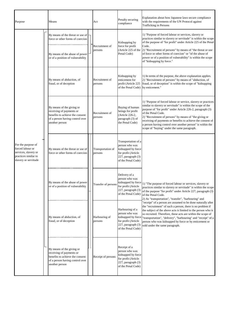| Purpose                                                                                                        |  | Means                                                                                                                                         |  | Act                          | Penalty securing<br>compliance                                                                                                 | Explanation about how Japanese laws secure compliance<br>with the requirements of the UN Protocol against<br><b>Trafficking in Persons</b>                                                                                                                                                                                                                                                                                                                                                                                                                                                                                                                                                                            |
|----------------------------------------------------------------------------------------------------------------|--|-----------------------------------------------------------------------------------------------------------------------------------------------|--|------------------------------|--------------------------------------------------------------------------------------------------------------------------------|-----------------------------------------------------------------------------------------------------------------------------------------------------------------------------------------------------------------------------------------------------------------------------------------------------------------------------------------------------------------------------------------------------------------------------------------------------------------------------------------------------------------------------------------------------------------------------------------------------------------------------------------------------------------------------------------------------------------------|
| For the purpose of<br>forced labour or<br>services, slavery or<br>practices similar to<br>slavery or servitude |  | By means of the threat or use of<br>force or other forms of coercion                                                                          |  | Recruitment of<br>persons    | Kidnapping by<br>force for profit<br>(Article 225 of the<br>Penal Code)                                                        | 1) "Purpose of forced labour or services, slavery or<br>practices similar to slavery or servitude" is within the scope<br>of the purpose of "for profit" under Article 225 of the Penal<br>Code.<br>2) "Recruitment of persons" by means of "the threat or use<br>of force or other forms of coercion" or "of the abuse of<br>power or of a position of vulnerability" is within the scope<br>of "kidnapping by force."                                                                                                                                                                                                                                                                                               |
|                                                                                                                |  | By means of the abuse of power<br>or of a position of vulnerability                                                                           |  |                              |                                                                                                                                |                                                                                                                                                                                                                                                                                                                                                                                                                                                                                                                                                                                                                                                                                                                       |
|                                                                                                                |  | By means of abduction, of<br>fraud, or of deception                                                                                           |  | Recruitment of<br>persons    | Kidnapping by<br>enticement for<br>profit (Article 225<br>of the Penal Code) by enticement."                                   | 1) In terms of the purpose, the above explanation applies.<br>2) "Recruitment of persons" by means of "abduction, of<br>fraud, or of deception" is within the scope of "kidnapping                                                                                                                                                                                                                                                                                                                                                                                                                                                                                                                                    |
|                                                                                                                |  | By means of the giving or<br>receiving of payments or<br>benefits to achieve the consent<br>of a person having control over<br>another person |  | Recruitment of<br>persons    | Buying of human<br>beings for profit<br>(Article 226-2,<br>paragraph (3) of<br>the Penal Code)                                 | 1) "Purpose of forced labour or service, slavery or practices<br>similar to slavery or servitude" is within the scope of the<br>purpose of "for profit" under Article 226-2, paragraph (3)<br>of the Penal Code.<br>2) "Recruitment of persons" by means of "the giving or<br>receiving of payments or benefits to achieve the consent of<br>a person having control over another person" is within the<br>scope of "buying" under the same paragraph.                                                                                                                                                                                                                                                                |
|                                                                                                                |  | By means of the threat or use of<br>force or other forms of coercion                                                                          |  | Transportation of<br>persons | Transportation of a<br>person who was<br>kidnapped by force<br>for profit (Article<br>227, paragraph (3)<br>of the Penal Code) | kidnapped by force 1) "The purpose of forced labour or services, slavery or<br>practices similar to slavery or servitude" is within the scope<br>of the purpose "for profit" under Article 227, paragraph (3)<br>of the Penal Code.<br>2) As "transportation", "transfer", "harbouring" and<br>"receipt" of a person are assumed to be done naturally after<br>the "recruitment" of such a person, there is no problem if<br>the subject of the above acts is limited to the person who is<br>so recruited. Therefore, these acts are within the scope of<br>"transportation", "delivery", "harbouring" and "receipt" of a<br>person who was kidnapped by force or by enticement or<br>sold under the same paragraph. |
|                                                                                                                |  | By means of the abuse of power  <br>or of a position of vulnerability                                                                         |  | Transfer of person:          | Delivery of a<br>person who was<br>for profit (Article<br>227, paragraph (3)<br>of the Penal Code)                             |                                                                                                                                                                                                                                                                                                                                                                                                                                                                                                                                                                                                                                                                                                                       |
|                                                                                                                |  | By means of abduction, of<br>fraud, or of deception                                                                                           |  | Harbouring of<br>persons     | Harbouring of a<br>person who was<br>kidnapped by force<br>for profit (Article<br>227, paragraph (3)<br>of the Penal Code)     |                                                                                                                                                                                                                                                                                                                                                                                                                                                                                                                                                                                                                                                                                                                       |
|                                                                                                                |  | By means of the giving or<br>receiving of payments or<br>benefits to achieve the consent<br>of a person having control over<br>another person |  | Receipt of persons           | Receipt of a<br>person who was<br>kidnapped by force<br>for profit (Article<br>227, paragraph (3)<br>of the Penal Code)        |                                                                                                                                                                                                                                                                                                                                                                                                                                                                                                                                                                                                                                                                                                                       |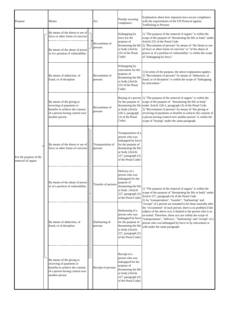| Purpose                                     |  | Means                                                                                                                                         |  | Act                          | Penalty securing<br>compliance                                                                                                                                            | Explanation about how Japanese laws secure compliance<br>with the requirements of the UN Protocol against<br><b>Trafficking in Persons</b>                                                                                                                                                                                                                                                                                                   |
|---------------------------------------------|--|-----------------------------------------------------------------------------------------------------------------------------------------------|--|------------------------------|---------------------------------------------------------------------------------------------------------------------------------------------------------------------------|----------------------------------------------------------------------------------------------------------------------------------------------------------------------------------------------------------------------------------------------------------------------------------------------------------------------------------------------------------------------------------------------------------------------------------------------|
| For the purpose of the<br>removal of organs |  | By means of the threat or use of<br>force or other forms of coercion<br>By means of the abuse of power<br>or of a position of vulnerability   |  | Recruitment of<br>persons    | Kidnapping by<br>force for the<br>purpose of<br>or body (Article<br>225 of the Penal<br>Code)                                                                             | 1) "The purpose of the removal of organs" is within the<br>scope of the purpose of "threatening the life or body" under<br>Article 225 of the Penal Code.<br>threatening the life $ 2$ ) "Recruitment of persons" by means of "the threat or use<br>of force or other forms of coercion" or "of the abuse of<br>power or of a position of vulnerability" is within the scope<br>of "kidnapping by force."                                    |
|                                             |  | By means of abduction, of<br>fraud, or of deception                                                                                           |  | Recruitment of<br>persons    | Kidnapping by<br>enticement for the<br>purpose of<br>threatening the life<br>or body (Article<br>225 of the Penal<br>Code)                                                | 1) In terms of the purpose, the above explanation applies.<br>2) "Recruitment of persons" by means of "abduction, of<br>fraud, or of deception" is within the scope of "kidnapping<br>by enticement."                                                                                                                                                                                                                                        |
|                                             |  | By means of the giving or<br>receiving of payments or<br>benefits to achieve the consent<br>of a person having control over<br>another person |  | Recruitment of<br>persons    | for the purpose of<br>threatening the life<br>or body (Article<br>226-2, paragraph<br>(3) of the Penal<br>Code)                                                           | Buying of a person $ 1\rangle$ "The purpose of the removal of organs" is within the<br>scope of the purpose of "threatening the life or body"<br>under Article 226-2, paragraph (3) of the Penal Code.<br>2) "Recruitment of persons" by means of "the giving or<br>receiving of payments or benefits to achieve the consent of<br>a person having control over another person" is within the<br>scope of "buying" under the same paragraph. |
|                                             |  | By means of the threat or use of<br>force or other forms of coercion                                                                          |  | Transportation of<br>persons | Transportation of a<br>person who was<br>kidnapped by force<br>for the purpose of<br>threatening the life<br>or body (Article<br>227, paragraph (3)<br>of the Penal Code) |                                                                                                                                                                                                                                                                                                                                                                                                                                              |
|                                             |  | By means of the abuse of power<br>or of a position of vulnerability                                                                           |  | Transfer of persons          | Delivery of a<br>person who was<br>kidnapped for the<br>purpose of<br>threatening the life<br>or body (Article<br>227, paragraph (3)<br>of the Penal Code)                | 1) "The purpose of the removal of organs" is within the<br>scope of the purpose of "threatening the life or body" under<br>Article 227, paragraph (3) of the Penal Code.<br>2) As "transportation", "transfer", "harbouring" and                                                                                                                                                                                                             |
|                                             |  | By means of abduction, of<br>fraud, or of deception                                                                                           |  | Harbouring of<br>persons     | Harbouring of a<br>person who was<br>kidnapped by force<br>for the purpose of<br>threatening the life<br>or body (Article<br>227, paragraph (3)<br>of the Penal Code)     | "receipt" of a person are assumed to be done naturally after<br>the "recruitment" of such person, there is no problem if the<br>subject of the above acts is limited to the person who is so<br>recruited. Therefore, these acts are within the scope of<br>"transportation", "delivery", "harbouring" and "receipt" of a<br>person who was kidnapped by force or by enticement or<br>sold under the same paragraph.                         |
|                                             |  | By means of the giving or<br>receiving of payments or<br>benefits to achieve the consent<br>of a person having control over<br>another person |  | Receipt of persons           | Receipt of a<br>person who was<br>kidnapped for the<br>purpose of<br>threatening the life<br>or body (Article<br>227, paragraph (3)<br>of the Penal Code)                 |                                                                                                                                                                                                                                                                                                                                                                                                                                              |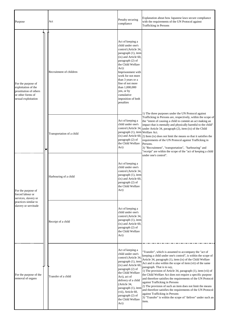| Purpose                                                                                                         | Act                       | Penalty securing<br>compliance                                                                                                                                                                                                                                                                                                     | Explanation about how Japanese laws secure compliance<br>with the requirements of the UN Protocol against<br><b>Trafficking in Persons</b>                                                                                                                                                                                                                                                                                                                                                                                                                                                                                                                                                                                                          |  |
|-----------------------------------------------------------------------------------------------------------------|---------------------------|------------------------------------------------------------------------------------------------------------------------------------------------------------------------------------------------------------------------------------------------------------------------------------------------------------------------------------|-----------------------------------------------------------------------------------------------------------------------------------------------------------------------------------------------------------------------------------------------------------------------------------------------------------------------------------------------------------------------------------------------------------------------------------------------------------------------------------------------------------------------------------------------------------------------------------------------------------------------------------------------------------------------------------------------------------------------------------------------------|--|
| For the purpose of<br>exploitation of the<br>prostitution of others<br>or other forms of<br>sexual exploitation | Recruitment of children   | Act of keeping a<br>child under one's<br>control (Article 34,<br>paragraph (1), item<br>(ix) and Article 60,<br>paragraph (2) of<br>the Child Welfare<br>Act):<br>Imprisonment with<br>work for not more<br>than 3 years or a<br>fine of not more<br>than 1.000,000<br>yen, or by<br>cumulative<br>imposition of both<br>penalties |                                                                                                                                                                                                                                                                                                                                                                                                                                                                                                                                                                                                                                                                                                                                                     |  |
|                                                                                                                 | Transportation of a child | Act of keeping a<br>child under one's<br>control (Article 34,<br>paragraph (1), item Welfare Act.<br>(ix) and Article 60,<br>paragraph (2) of<br>the Child Welfare<br>Act)                                                                                                                                                         | 1) The three purposes under the UN Protocol against<br>Trafficking in Persons are, respectively, within the scope of<br>the "intent of causing a child to commit an act making an<br>impact that is mentally and physically harmful to the child"<br>under Article 34, paragraph (2), item (ix) of the Child<br>2) Item (ix) does not limit the means so that it satisfies the<br>requirements of the UN Protocol against Trafficking in<br>Persons.<br>3) "Recruitment", "transportation", "harbouring" and<br>"receipt" are within the scope of the "act of keeping a child                                                                                                                                                                       |  |
| For the purpose of<br>forced labour or<br>services, slavery or                                                  | Harbouring of a child     | Act of keeping a<br>child under one's<br>control (Article 34,<br>paragraph (1), item<br>(ix) and Article 60,<br>paragraph (2) of<br>the Child Welfare<br>Act)                                                                                                                                                                      | under one's control".                                                                                                                                                                                                                                                                                                                                                                                                                                                                                                                                                                                                                                                                                                                               |  |
| practices similar to<br>slavery or servitude                                                                    | Receipt of a child        | Act of keeping a<br>child under one's<br>control (Article 34,<br>paragraph (1), item<br>(ix) and Article 60,<br>paragraph (2) of<br>the Child Welfare<br>Act)                                                                                                                                                                      |                                                                                                                                                                                                                                                                                                                                                                                                                                                                                                                                                                                                                                                                                                                                                     |  |
| For the purpose of the<br>removal of organs                                                                     | Transfer of a child       | Act of keeping a<br>child under one's<br>control (Article 34,<br>paragraph (1), item<br>(ix) and Article 60,<br>paragraph (2) of<br>the Child Welfare<br>Act), act of<br>delivery of a child<br>(Article 34,<br>paragraph (1), item<br>(vii), Article 60,<br>paragraph (2) of<br>the Child Welfare<br>Act)                         | "Transfer", which is assumed to accompany the "act of<br>keeping a child under one's control", is within the scope of<br>Article 34, paragraph (1), item (ix) of the Child Welfare<br>Act and is also within the scope of item (vii) of the same<br>paragraph. That is to say,<br>1) The provision of Article 34, paragraph (1), item (vii) of<br>the Child Welfare Act does not require a specific purpose<br>and therefore satisfies the requirements of the UN Protocol<br>against Trafficking in Persons<br>2) The provision of such an item does not limit the means<br>and therefore satisfies the requirements of the UN Protocol<br>against Trafficking in Persons<br>3) "Transfer" is within the scope of "deliver" under such an<br>item. |  |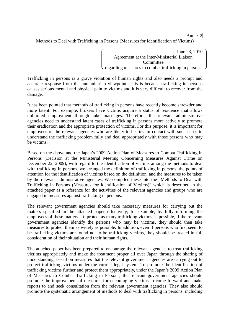Annex 2

Methods to Deal with Trafficking in Persons (Measures for Identification of Victims)

June 23, 2010 Agreement at the Inter-Ministerial Liaison Committee regarding measures to combat trafficking in persons

Trafficking in persons is a grave violation of human rights and also needs a prompt and accurate response from the humanitarian viewpoint. This is because trafficking in persons causes serious mental and physical pain to victims and it is very difficult to recover from the damage.

It has been pointed that methods of trafficking in persons have recently become shrewder and more latent. For example, brokers have victims acquire a status of residence that allows unlimited employment through fake marriages. Therefore, the relevant administrative agencies need to understand latent cases of trafficking in persons more actively to promote their eradication and the appropriate protection of victims. For this purpose, it is important for employees of the relevant agencies who are likely to be first in contact with such cases to understand the trafficking problem fully and deal appropriately with those persons who may be victims.

Based on the above and the Japan's 2009 Action Plan of Measures to Combat Trafficking in Persons (Decision at the Ministerial Meeting Concerning Measures Against Crime on December 22, 2009), with regard to the identification of victims among the methods to deal with trafficking in persons, we arranged the definition of trafficking in persons, the points of attention for the identification of victims based on the definition, and the measures to be taken by the relevant administrative agencies. We compiled these into the "Methods to Deal with Trafficking in Persons (Measures for Identification of Victims)" which is described in the attached paper as a reference for the activities of the relevant agencies and groups who are engaged in measures against trafficking in persons.

The relevant government agencies should take necessary measures for carrying out the matters specified in the attached paper effectively; for example, by fully informing the employees of these matters. To protect as many trafficking victims as possible, if the relevant government agencies identify the persons who may be victims, they should then take measures to protect them as widely as possible. In addition, even if persons who first seem to be trafficking victims are found not to be trafficking victims, they should be treated in full consideration of their situation and their human rights.

The attached paper has been prepared to encourage the relevant agencies to treat trafficking victims appropriately and make the treatment proper all over Japan through the sharing of understanding, based on measures that the relevant government agencies are carrying out to protect trafficking victims under the current legal system. To promote the identification of trafficking victims further and protect them appropriately, under the Japan's 2009 Action Plan of Measures to Combat Trafficking in Persons, the relevant government agencies should promote the improvement of measures for encouraging victims to come forward and make reports to and seek consultation from the relevant government agencies. They also should promote the systematic arrangement of methods to deal with trafficking in persons, including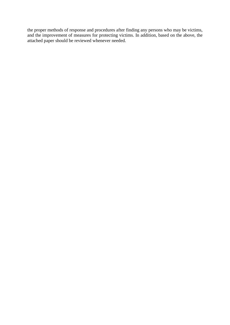the proper methods of response and procedures after finding any persons who may be victims, and the improvement of measures for protecting victims. In addition, based on the above, the attached paper should be reviewed whenever needed.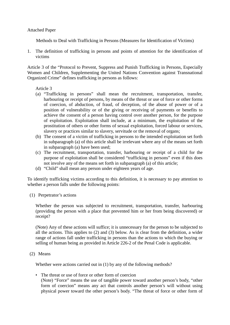#### Attached Paper

Methods to Deal with Trafficking in Persons (Measures for Identification of Victims)

1. The definition of trafficking in persons and points of attention for the identification of victims

Article 3 of the "Protocol to Prevent, Suppress and Punish Trafficking in Persons, Especially Women and Children, Supplementing the United Nations Convention against Transnational Organized Crime" defines trafficking in persons as follows:

#### Article 3

- (a) "Trafficking in persons" shall mean the recruitment, transportation, transfer, harbouring or receipt of persons, by means of the threat or use of force or other forms of coercion, of abduction, of fraud, of deception, of the abuse of power or of a position of vulnerability or of the giving or receiving of payments or benefits to achieve the consent of a person having control over another person, for the purpose of exploitation. Exploitation shall include, at a minimum, the exploitation of the prostitution of others or other forms of sexual exploitation, forced labour or services, slavery or practices similar to slavery, servitude or the removal of organs;
- (b) The consent of a victim of trafficking in persons to the intended exploitation set forth in subparagraph (a) of this article shall be irrelevant where any of the means set forth in subparagraph (a) have been used;
- (c) The recruitment, transportation, transfer, harbouring or receipt of a child for the purpose of exploitation shall be considered "trafficking in persons" even if this does not involve any of the means set forth in subparagraph (a) of this article;
- (d) "Child" shall mean any person under eighteen years of age.

To identify trafficking victims according to this definition, it is necessary to pay attention to whether a person falls under the following points:

(1) Perpetrator's actions

Whether the person was subjected to recruitment, transportation, transfer, harbouring (providing the person with a place that prevented him or her from being discovered) or receipt?

(Note) Any of these actions will suffice; it is unnecessary for the person to be subjected to all the actions. This applies to (2) and (3) below. As is clear from the definition, a wider range of actions fall under trafficking in persons than the actions to which the buying or selling of human being as provided in Article 226-2 of the Penal Code is applicable.

(2) Means

Whether were actions carried out in (1) by any of the following methods?

• The threat or use of force or other form of coercion (Note) "Force" means the use of tangible power toward another person's body, "other form of coercion" means any act that controls another person's will without using physical power toward the other person's body. "The threat of force or other form of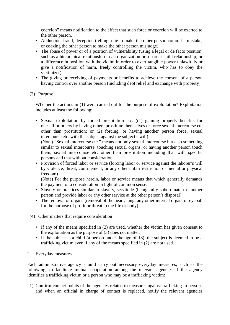coercion" means notification to the effect that such force or coercion will be exerted to the other person.

- Abduction, fraud, deception (telling a lie to make the other person commit a mistake, or coaxing the other person to make the other person misjudge)
- The abuse of power or of a position of vulnerability (using a legal or de facto position, such as a hierarchical relationship in an organization or a parent-child relationship, or a difference in position with the victim in order to exert tangible power unlawfully or give a notification of harm, freely controlling the victim, who has to obey the victimizer)
- The giving or receiving of payments or benefits to achieve the consent of a person having control over another person (including debt relief and exchange with property)

# (3) Purpose

Whether the actions in (1) were carried out for the purpose of exploitation? Exploitation includes at least the following:

• Sexual exploitation by forced prostitution etc. ((1) gaining property benefits for oneself or others by having others prostitute themselves or force sexual intercourse etc. other than prostitution; or (2) forcing, or having another person force, sexual intercourse etc. with the subject against the subject's will)

(Note) "Sexual intercourse etc." means not only sexual intercourse but also something similar to sexual intercourse, touching sexual organs, or having another person touch them; sexual intercourse etc. other than prostitution including that with specific persons and that without consideration.

• Provision of forced labor or service (forcing labor or service against the laborer's will by violence, threat, confinement, or any other unfair restriction of mental or physical freedom)

(Note) For the purpose herein, labor or service means that which generally demands the payment of a consideration in light of common sense.

- Slavery or practices similar to slavery, servitude (being fully subordinate to another person and provide labor or any other service at the other person's disposal)
- The removal of organs (removal of the heart, lung, any other internal organ, or eyeball for the purpose of profit or threat to the life or body)
- (4) Other matters that require consideration
	- If any of the means specified in (2) are used, whether the victim has given consent to the exploitation as the purpose of (3) does not matter.
	- If the subject is a child (a person under the age of 18), the subject is deemed to be a trafficking victim even if any of the means specified in (2) are not used.

# 2. Everyday measures

Each administrative agency should carry out necessary everyday measures, such as the following, to facilitate mutual cooperation among the relevant agencies if the agency identifies a trafficking victim or a person who may be a trafficking victim:

1) Confirm contact points of the agencies related to measures against trafficking in persons and when an official in charge of contact is replaced, notify the relevant agencies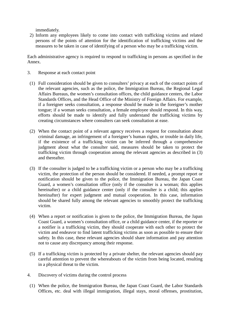immediately.

2) Inform any employees likely to come into contact with trafficking victims and related persons of the points of attention for the identification of trafficking victims and the measures to be taken in case of identifying of a person who may be a trafficking victim.

Each administrative agency is required to respond to trafficking in persons as specified in the Annex.

- 3. Response at each contact point
- (1) Full consideration should be given to consulters' privacy at each of the contact points of the relevant agencies, such as the police, the Immigration Bureau, the Regional Legal Affairs Bureaus, the women's consultation offices, the child guidance centers, the Labor Standards Offices, and the Head Office of the Ministry of Foreign Affairs. For example, if a foreigner seeks consultation, a response should be made in the foreigner's mother tongue; if a woman seeks consultation, a female employee should respond. In this way, efforts should be made to identify and fully understand the trafficking victims by creating circumstances where consulters can seek consultation at ease.
- (2) When the contact point of a relevant agency receives a request for consultation about criminal damage, an infringement of a foreigner's human rights, or trouble in daily life, if the existence of a trafficking victim can be inferred through a comprehensive judgment about what the consulter said, measures should be taken to protect the trafficking victim through cooperation among the relevant agencies as described in (3) and thereafter.
- (3) If the consulter is judged to be a trafficking victim or a person who may be a trafficking victim, the protection of the person should be considered. If needed, a prompt report or notification should be given to the police, the Immigration Bureau, the Japan Coast Guard, a women's consultation office (only if the consulter is a woman; this applies hereinafter) or a child guidance center (only if the consulter is a child; this applies hereinafter) for expert judgment and mutual cooperation. In this case, information should be shared fully among the relevant agencies to smoothly protect the trafficking victim.
- (4) When a report or notification is given to the police, the Immigration Bureau, the Japan Coast Guard, a women's consultation office, or a child guidance center, if the reporter or a notifier is a trafficking victim, they should cooperate with each other to protect the victim and endeavor to find latent trafficking victims as soon as possible to ensure their safety. In this case, these relevant agencies should share information and pay attention not to cause any discrepancy among their response.
- (5) If a trafficking victim is protected by a private shelter, the relevant agencies should pay careful attention to prevent the whereabouts of the victim from being located, resulting in a physical threat to the victim.
- 4. Discovery of victims during the control process
- (1) When the police, the Immigration Bureau, the Japan Coast Guard, the Labor Standards Offices, etc. deal with illegal immigration, illegal stays, moral offenses, prostitution,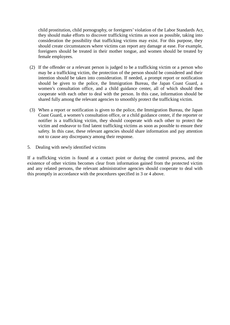child prostitution, child pornography, or foreigners' violation of the Labor Standards Act, they should make efforts to discover trafficking victims as soon as possible, taking into consideration the possibility that trafficking victims may exist. For this purpose, they should create circumstances where victims can report any damage at ease. For example, foreigners should be treated in their mother tongue, and women should be treated by female employees.

- (2) If the offender or a relevant person is judged to be a trafficking victim or a person who may be a trafficking victim, the protection of the person should be considered and their intention should be taken into consideration. If needed, a prompt report or notification should be given to the police, the Immigration Bureau, the Japan Coast Guard, a women's consultation office, and a child guidance center, all of which should then cooperate with each other to deal with the person. In this case, information should be shared fully among the relevant agencies to smoothly protect the trafficking victim.
- (3) When a report or notification is given to the police, the Immigration Bureau, the Japan Coast Guard, a women's consultation office, or a child guidance center, if the reporter or notifier is a trafficking victim, they should cooperate with each other to protect the victim and endeavor to find latent trafficking victims as soon as possible to ensure their safety. In this case, these relevant agencies should share information and pay attention not to cause any discrepancy among their response.
- 5. Dealing with newly identified victims

If a trafficking victim is found at a contact point or during the control process, and the existence of other victims becomes clear from information gained from the protected victim and any related persons, the relevant administrative agencies should cooperate to deal with this promptly in accordance with the procedures specified in 3 or 4 above.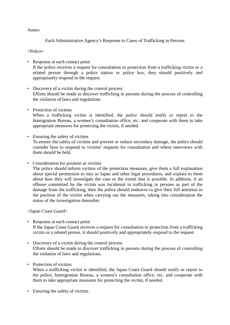#### Annex

Each Administrative Agency's Response to Cases of Trafficking in Persons

<Police>

- Response at each contact point If the police receives a request for consultation or protection from a trafficking victim or a related person through a police station or police box, they should positively and appropriately respond to the request.
- Discovery of a victim during the control process Efforts should be made to discover trafficking in persons during the process of controlling the violation of laws and regulations.
- Protection of victims

When a trafficking victim is identified, the police should notify or report to the Immigration Bureau, a women's consultation office, etc. and cooperate with them to take appropriate measures for protecting the victim, if needed.

- Ensuring the safety of victims To ensure the safety of victims and prevent or reduce secondary damage, the police should consider how to respond to victims' requests for consultation and where interviews with them should be held.
- Consideration for position as victims

The police should inform victims of the protection measures, give them a full explanation about special permission to stay in Japan and other legal procedures, and explain to them about how they will investigate the case to the extent that is possible. In addition, if an offense committed by the victim was incidental to trafficking in persons as part of the damage from the trafficking, then the police should endeavor to give their full attention to the position of the victim when carrying out the measures, taking into consideration the status of the investigation thereafter.

<Japan Coast Guard>

- Response at each contact point If the Japan Coast Guard receives a request for consultation or protection from a trafficking victim or a related person, it should positively and appropriately respond to the request.
- Discovery of a victim during the control process Efforts should be made to discover trafficking in persons during the process of controlling the violation of laws and regulations.
- Protection of victims When a trafficking victim is identified, the Japan Coast Guard should notify or report to the police, Immigration Bureau, a women's consultation office, etc. and cooperate with them to take appropriate measures for protecting the victim, if needed.
- Ensuring the safety of victims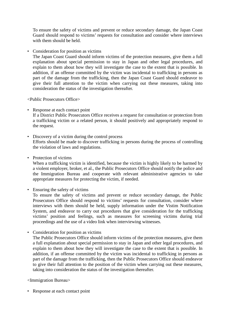To ensure the safety of victims and prevent or reduce secondary damage, the Japan Coast Guard should respond to victims' requests for consultation and consider where interviews with them should be held.

• Consideration for position as victims

The Japan Coast Guard should inform victims of the protection measures, give them a full explanation about special permission to stay in Japan and other legal procedures, and explain to them about how they will investigate the case to the extent that is possible. In addition, if an offense committed by the victim was incidental to trafficking in persons as part of the damage from the trafficking, then the Japan Coast Guard should endeavor to give their full attention to the victim when carrying out these measures, taking into consideration the status of the investigation thereafter.

<Public Prosecutors Office>

- Response at each contact point If a District Public Prosecutors Office receives a request for consultation or protection from a trafficking victim or a related person, it should positively and appropriately respond to the request.
- Discovery of a victim during the control process Efforts should be made to discover trafficking in persons during the process of controlling the violation of laws and regulations.
- Protection of victims

When a trafficking victim is identified, because the victim is highly likely to be harmed by a violent employer, broker, et al., the Public Prosecutors Office should notify the police and the Immigration Bureau and cooperate with relevant administrative agencies to take appropriate measures for protecting the victim, if needed.

• Ensuring the safety of victims

To ensure the safety of victims and prevent or reduce secondary damage, the Public Prosecutors Office should respond to victims' requests for consultation, consider where interviews with them should be held, supply information under the Vistim Notification System, and endeavor to carry out procedures that give consideration for the trafficking victims' position and feelings, such as measures for screening victims during trial proceedings and the use of a video link when interviewing witnesses.

• Consideration for position as victims

The Public Prosecutors Office should inform victims of the protection measures, give them a full explanation about special permission to stay in Japan and other legal procedures, and explain to them about how they will investigate the case to the extent that is possible. In addition, if an offense committed by the victim was incidental to trafficking in persons as part of the damage from the trafficking, then the Public Prosecutors Office should endeavor to give their full attention to the position of the victim when carrying out these measures, taking into consideration the status of the investigation thereafter.

<Immigration Bureau>

• Response at each contact point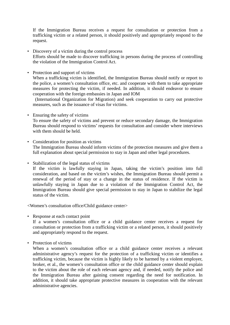If the Immigration Bureau receives a request for consultation or protection from a trafficking victim or a related person, it should positively and appropriately respond to the request.

- Discovery of a victim during the control process Efforts should be made to discover trafficking in persons during the process of controlling the violation of the Immigration Control Act.
- Protection and support of victims

When a trafficking victim is identified, the Immigration Bureau should notify or report to the police, a women's consultation office, etc. and cooperate with them to take appropriate measures for protecting the victim, if needed. In addition, it should endeavor to ensure cooperation with the foreign embassies in Japan and IOM

(International Organization for Migration) and seek cooperation to carry out protective measures, such as the issuance of visas for victims.

• Ensuring the safety of victims

To ensure the safety of victims and prevent or reduce secondary damage, the Immigration Bureau should respond to victims' requests for consultation and consider where interviews with them should be held.

• Consideration for position as victims

The Immigration Bureau should inform victims of the protection measures and give them a full explanation about special permission to stay in Japan and other legal procedures.

• Stabilization of the legal status of victims

If the victim is lawfully staying in Japan, taking the victim's position into full consideration, and based on the victim's wishes, the Immigration Bureau should permit a renewal of the period of stay or a change in the status of residence. If the victim is unlawfully staying in Japan due to a violation of the Immigration Control Act, the Immigration Bureau should give special permission to stay in Japan to stabilize the legal status of the victim.

<Women's consultation office/Child guidance center>

• Response at each contact point

If a women's consultation office or a child guidance center receives a request for consultation or protection from a trafficking victim or a related person, it should positively and appropriately respond to the request.

• Protection of victims

When a women's consultation office or a child guidance center receives a relevant administrative agency's request for the protection of a trafficking victim or identifies a trafficking victim, because the victim is highly likely to be harmed by a violent employer, broker, et al., the women's consultation office or the child guidance center should explain to the victim about the role of each relevant agency and, if needed, notify the police and the Immigration Bureau after gaining consent regarding the need for notification. In addition, it should take appropriate protective measures in cooperation with the relevant administrative agencies.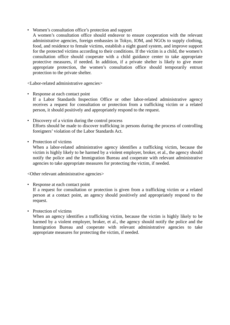• Women's consultation office's protection and support

A women's consultation office should endeavor to ensure cooperation with the relevant administrative agencies, foreign embassies in Tokyo, IOM, and NGOs to supply clothing, food, and residence to female victims, establish a night guard system, and improve support for the protected victims according to their conditions. If the victim is a child, the women's consultation office should cooperate with a child guidance center to take appropriate protective measures, if needed. In addition, if a private shelter is likely to give more appropriate protection, the women's consultation office should temporarily entrust protection to the private shelter.

<Labor-related administrative agencies>

- Response at each contact point If a Labor Standards Inspection Office or other labor-related administrative agency receives a request for consultation or protection from a trafficking victim or a related person, it should positively and appropriately respond to the request.
- Discovery of a victim during the control process Efforts should be made to discover trafficking in persons during the process of controlling foreigners' violation of the Labor Standards Act.
- Protection of victims

When a labor-related administrative agency identifies a trafficking victim, because the victim is highly likely to be harmed by a violent employer, broker, et al., the agency should notify the police and the Immigration Bureau and cooperate with relevant administrative agencies to take appropriate measures for protecting the victim, if needed.

<Other relevant administrative agencies>

- Response at each contact point If a request for consultation or protection is given from a trafficking victim or a related person at a contact point, an agency should positively and appropriately respond to the request.
- Protection of victims

When an agency identifies a trafficking victim, because the victim is highly likely to be harmed by a violent employer, broker, et al., the agency should notify the police and the Immigration Bureau and cooperate with relevant administrative agencies to take appropriate measures for protecting the victim, if needed.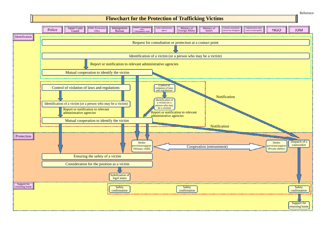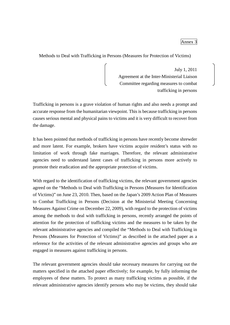Methods to Deal with Trafficking in Persons (Measures for Protection of Victims)

July 1, 2011 Agreement at the Inter-Ministerial Liaison Committee regarding measures to combat trafficking in persons

Trafficking in persons is a grave violation of human rights and also needs a prompt and accurate response from the humanitarian viewpoint. This is because trafficking in persons causes serious mental and physical pains to victims and it is very difficult to recover from the damage.

It has been pointed that methods of trafficking in persons have recently become shrewder and more latent. For example, brokers have victims acquire resident's status with no limitation of work through fake marriages. Therefore, the relevant administrative agencies need to understand latent cases of trafficking in persons more actively to promote their eradication and the appropriate protection of victims.

With regard to the identification of trafficking victims, the relevant government agencies agreed on the "Methods to Deal with Trafficking in Persons (Measures for Identification of Victims)" on June 23, 2010. Then, based on the Japan's 2009 Action Plan of Measures to Combat Trafficking in Persons (Decision at the Ministerial Meeting Concerning Measures Against Crime on December 22, 2009), with regard to the protection of victims among the methods to deal with trafficking in persons, recently arranged the points of attention for the protection of trafficking victims and the measures to be taken by the relevant administrative agencies and compiled the "Methods to Deal with Trafficking in Persons (Measures for Protection of Victims)" as described in the attached paper as a reference for the activities of the relevant administrative agencies and groups who are engaged in measures against trafficking in persons.

The relevant government agencies should take necessary measures for carrying out the matters specified in the attached paper effectively; for example, by fully informing the employees of these matters. To protect as many trafficking victims as possible, if the relevant administrative agencies identify persons who may be victims, they should take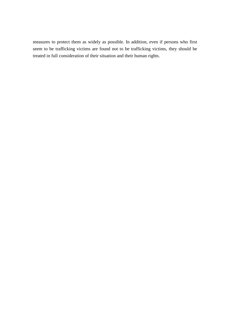measures to protect them as widely as possible. In addition, even if persons who first seem to be trafficking victims are found not to be trafficking victims, they should be treated in full consideration of their situation and their human rights.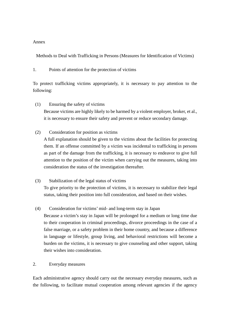#### Annex

Methods to Deal with Trafficking in Persons (Measures for Identification of Victims)

1. Points of attention for the protection of victims

To protect trafficking victims appropriately, it is necessary to pay attention to the following:

- (1) Ensuring the safety of victims Because victims are highly likely to be harmed by a violent employer, broker, et al., it is necessary to ensure their safety and prevent or reduce secondary damage.
- (2) Consideration for position as victims

A full explanation should be given to the victims about the facilities for protecting them. If an offense committed by a victim was incidental to trafficking in persons as part of the damage from the trafficking, it is necessary to endeavor to give full attention to the position of the victim when carrying out the measures, taking into consideration the status of the investigation thereafter.

(3) Stabilization of the legal status of victims

To give priority to the protection of victims, it is necessary to stabilize their legal status, taking their position into full consideration, and based on their wishes.

(4) Consideration for victims' mid- and long-term stay in Japan

Because a victim's stay in Japan will be prolonged for a medium or long time due to their cooperation in criminal proceedings, divorce proceedings in the case of a false marriage, or a safety problem in their home country, and because a difference in language or lifestyle, group living, and behavioral restrictions will become a burden on the victims, it is necessary to give counseling and other support, taking their wishes into consideration.

# 2. Everyday measures

Each administrative agency should carry out the necessary everyday measures, such as the following, to facilitate mutual cooperation among relevant agencies if the agency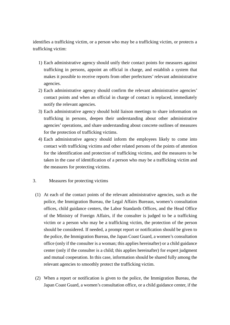identifies a trafficking victim, or a person who may be a trafficking victim, or protects a trafficking victim:

- 1) Each administrative agency should unify their contact points for measures against trafficking in persons, appoint an official in charge, and establish a system that makes it possible to receive reports from other prefectures' relevant administrative agencies.
- 2) Each administrative agency should confirm the relevant administrative agencies' contact points and when an official in charge of contact is replaced, immediately notify the relevant agencies.
- 3) Each administrative agency should hold liaison meetings to share information on trafficking in persons, deepen their understanding about other administrative agencies' operations, and share understanding about concrete outlines of measures for the protection of trafficking victims.
- 4) Each administrative agency should inform the employees likely to come into contact with trafficking victims and other related persons of the points of attention for the identification and protection of trafficking victims, and the measures to be taken in the case of identification of a person who may be a trafficking victim and the measures for protecting victims.
- 3. Measures for protecting victims
	- (1) At each of the contact points of the relevant administrative agencies, such as the police, the Immigration Bureau, the Legal Affairs Bureaus, women's consultation offices, child guidance centers, the Labor Standards Offices, and the Head Office of the Ministry of Foreign Affairs, if the consulter is judged to be a trafficking victim or a person who may be a trafficking victim, the protection of the person should be considered. If needed, a prompt report or notification should be given to the police, the Immigration Bureau, the Japan Coast Guard, a women's consultation office (only if the consulter is a woman; this applies hereinafter) or a child guidance center (only if the consulter is a child; this applies hereinafter) for expert judgment and mutual cooperation. In this case, information should be shared fully among the relevant agencies to smoothly protect the trafficking victim.
	- (2) When a report or notification is given to the police, the Immigration Bureau, the Japan Coast Guard, a women's consultation office, or a child guidance center, if the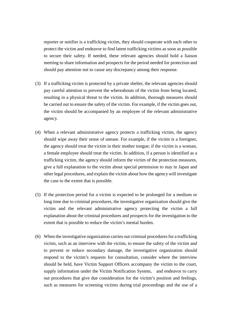reporter or notifier is a trafficking victim, they should cooperate with each other to protect the victim and endeavor to find latent trafficking victims as soon as possible to secure their safety. If needed, these relevant agencies should hold a liaison meeting to share information and prospects for the period needed for protection and should pay attention not to cause any discrepancy among their response.

- (3) If a trafficking victim is protected by a private shelter, the relevant agencies should pay careful attention to prevent the whereabouts of the victim from being located, resulting in a physical threat to the victim. In addition, thorough measures should be carried out to ensure the safety of the victim. For example, if the victim goes out, the victim should be accompanied by an employee of the relevant administrative agency.
- (4) When a relevant administrative agency protects a trafficking victim, the agency should wipe away their sense of unease. For example, if the victim is a foreigner, the agency should treat the victim in their mother tongue; if the victim is a woman, a female employee should treat the victim. In addition, if a person is identified as a trafficking victim, the agency should inform the victim of the protection measures, give a full explanation to the victim about special permission to stay in Japan and other legal procedures, and explain the victim about how the agency will investigate the case to the extent that is possible.
- (5) If the protection period for a victim is expected to be prolonged for a medium or long time due to criminal procedures, the investigative organization should give the victim and the relevant administrative agency protecting the victim a full explanation about the criminal procedures and prospects for the investigation to the extent that is possible to reduce the victim's mental burden.
- (6) When the investigative organization carries out criminal procedures for a trafficking victim, such as an interview with the victim, to ensure the safety of the victim and to prevent or reduce secondary damage, the investigative organization should respond to the victim's requests for consultation, consider where the interview should be held, have Victim Support Officers accompany the victim to the court, supply information under the Victim Notification System, and endeavor to carry out procedures that give due consideration for the victim's position and feelings, such as measures for screening victims during trial proceedings and the use of a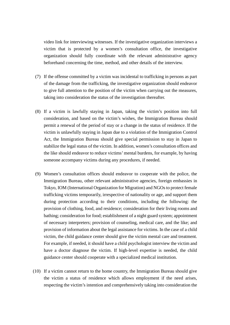video link for interviewing witnesses. If the investigative organization interviews a victim that is protected by a women's consultation office, the investigative organization should fully coordinate with the relevant administrative agency beforehand concerning the time, method, and other details of the interview.

- (7) If the offense committed by a victim was incidental to trafficking in persons as part of the damage from the trafficking, the investigative organization should endeavor to give full attention to the position of the victim when carrying out the measures, taking into consideration the status of the investigation thereafter.
- (8) If a victim is lawfully staying in Japan, taking the victim's position into full consideration, and based on the victim's wishes, the Immigration Bureau should permit a renewal of the period of stay or a change in the status of residence. If the victim is unlawfully staying in Japan due to a violation of the Immigration Control Act, the Immigration Bureau should give special permission to stay in Japan to stabilize the legal status of the victim. In addition, women's consultation offices and the like should endeavor to reduce victims' mental burdens, for example, by having someone accompany victims during any procedures, if needed.
- (9) Women's consultation offices should endeavor to cooperate with the police, the Immigration Bureau, other relevant administrative agencies, foreign embassies in Tokyo, IOM (International Organization for Migration) and NGOs to protect female trafficking victims temporarily, irrespective of nationality or age, and support them during protection according to their conditions, including the following: the provision of clothing, food, and residence; consideration for their living rooms and bathing; consideration for food; establishment of a night guard system; appointment of necessary interpreters; provision of counseling, medical care, and the like; and provision of information about the legal assistance for victims. In the case of a child victim, the child guidance center should give the victim mental care and treatment. For example, if needed, it should have a child psychologist interview the victim and have a doctor diagnose the victim. If high-level expertise is needed, the child guidance center should cooperate with a specialized medical institution.
- (10) If a victim cannot return to the home country, the Immigration Bureau should give the victim a status of residence which allows employment if the need arises, respecting the victim's intention and comprehensively taking into consideration the